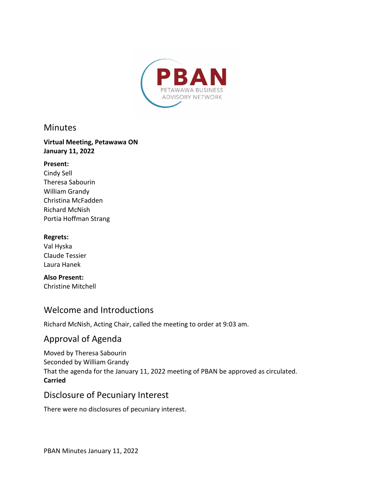

### **Minutes**

#### **Virtual Meeting, Petawawa ON January 11, 2022**

#### **Present:**

Cindy Sell Theresa Sabourin William Grandy Christina McFadden Richard McNish Portia Hoffman Strang

#### **Regrets:**

Val Hyska Claude Tessier Laura Hanek

**Also Present:**  Christine Mitchell

### Welcome and Introductions

Richard McNish, Acting Chair, called the meeting to order at 9:03 am.

# Approval of Agenda

Moved by Theresa Sabourin Seconded by William Grandy That the agenda for the January 11, 2022 meeting of PBAN be approved as circulated. **Carried**

### Disclosure of Pecuniary Interest

There were no disclosures of pecuniary interest.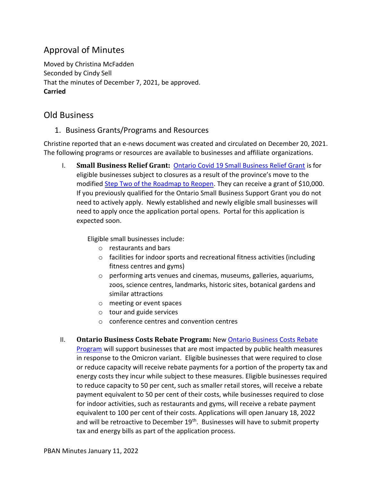# Approval of Minutes

Moved by Christina McFadden Seconded by Cindy Sell That the minutes of December 7, 2021, be approved. **Carried**

# Old Business

1. Business Grants/Programs and Resources

Christine reported that an e-news document was created and circulated on December 20, 2021. The following programs or resources are available to businesses and affiliate organizations.

I. **Small Business Relief Grant:** [Ontario Covid 19 Small Business Relief Grant](https://www.ontario.ca/page/businesses-get-help-covid-19-costs) is for eligible businesses subject to closures as a result of the province's move to the modified [Step Two of the Roadmap to Reopen.](https://news.ontario.ca/en/release/1001394/ontario-temporarily-moving-to-modified-step-two-of-the-roadmap-to-reopen) They can receive a grant of \$10,000. If you previously qualified for the Ontario Small Business Support Grant you do not need to actively apply. Newly established and newly eligible small businesses will need to apply once the application portal opens. Portal for this application is expected soon.

Eligible small businesses include:

- o restaurants and bars
- o facilities for indoor sports and recreational fitness activities (including fitness centres and gyms)
- o performing arts venues and cinemas, museums, galleries, aquariums, zoos, science centres, landmarks, historic sites, botanical gardens and similar attractions
- o meeting or event spaces
- o tour and guide services
- o conference centres and convention centres
- II. **Ontario Business Costs Rebate Program:** New [Ontario Business Costs Rebate](https://www.ontario.ca/page/businesses-get-help-covid-19-costs#section-1)  [Program](https://www.ontario.ca/page/businesses-get-help-covid-19-costs#section-1) will support businesses that are most impacted by public health measures in response to the Omicron variant. Eligible businesses that were required to close or reduce capacity will receive rebate payments for a portion of the property tax and energy costs they incur while subject to these measures. Eligible businesses required to reduce capacity to 50 per cent, such as smaller retail stores, will receive a rebate payment equivalent to 50 per cent of their costs, while businesses required to close for indoor activities, such as restaurants and gyms, will receive a rebate payment equivalent to 100 per cent of their costs. Applications will open January 18, 2022 and will be retroactive to December  $19<sup>th</sup>$ . Businesses will have to submit property tax and energy bills as part of the application process.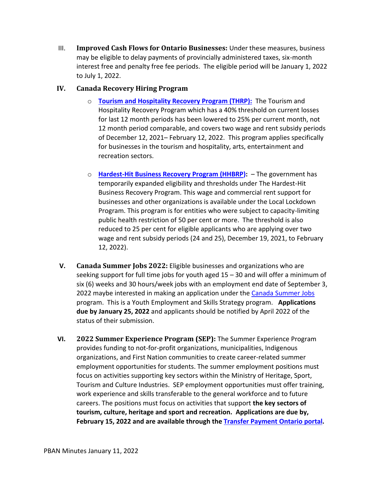III. **Improved Cash Flows for Ontario Businesses:** Under these measures, business may be eligible to delay payments of provincially administered taxes, six-month interest free and penalty free fee periods. The eligible period will be January 1, 2022 to July 1, 2022.

#### **IV. Canada Recovery Hiring Program**

- o **Tourism and Hospitality Recovery Program (THRP):** [The Tourism and](https://www.canada.ca/en/revenue-agency/services/wage-rent-subsidies/tourism-hospitality-recovery-program.html)  [Hospitality Recovery Program](https://www.canada.ca/en/revenue-agency/services/wage-rent-subsidies/tourism-hospitality-recovery-program.html) which has a 40% threshold on current losses for last 12 month periods has been lowered to 25% per current month, not 12 month period comparable, and covers two wage and rent subsidy periods of December 12, 2021– February 12, 2022. This program applies specifically for businesses in the tourism and hospitality, arts, entertainment and recreation sectors.
- o **Hardest-Hit Business Recovery Program (HHBRP):**  The government has temporarily expanded eligibility and thresholds under [The Hardest-Hit](https://www.canada.ca/en/revenue-agency/services/wage-rent-subsidies/hardest-hit-business-recovery-program.html)  [Business Recovery Program](https://www.canada.ca/en/revenue-agency/services/wage-rent-subsidies/hardest-hit-business-recovery-program.html). This wage and commercial rent support for businesses and other organizations is available under the Local Lockdown Program. This program is for entities who were subject to capacity-limiting public health restriction of 50 per cent or more. The threshold is also reduced to 25 per cent for eligible applicants who are applying over two wage and rent subsidy periods (24 and 25), December 19, 2021, to February 12, 2022).
- **V. Canada Summer Jobs 2022:** Eligible businesses and organizations who are seeking support for full time jobs for youth aged 15 – 30 and will offer a minimum of six (6) weeks and 30 hours/week jobs with an employment end date of September 3, 2022 maybe interested in making an application under the [Canada Summer Jobs](https://www.canada.ca/en/employment-social-development/services/funding/canada-summer-jobs.html) program. This is a Youth Employment and Skills Strategy program. **Applications due by January 25, 2022** and applicants should be notified by April 2022 of the status of their submission.
- **VI. 2022 Summer Experience Program (SEP):** The Summer Experience Program provides funding to not-for-profit organizations, municipalities, Indigenous organizations, and First Nation communities to create career-related summer employment opportunities for students. The summer employment positions must focus on activities supporting key sectors within the Ministry of Heritage, Sport, Tourism and Culture Industries. SEP employment opportunities must offer training, work experience and skills transferable to the general workforce and to future careers. The positions must focus on activities that support **the key sectors of tourism, culture, heritage and sport and recreation. Applications are due by, February 15, 2022 and are available through the [Transfer Payment Ontario portal.](https://www.app.grants.gov.on.ca/gr/tpcr/#/externalLogin)**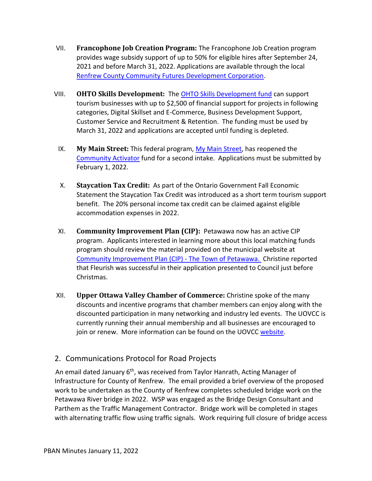- VII. **Francophone Job Creation Program:** The Francophone Job Creation program provides wage subsidy support of up to 50% for eligible hires after September 24, 2021 and before March 31, 2022. Applications are available through the local [Renfrew County Community Futures Development Corporation](https://www.facebook.com/R.C.CommunityFutures).
- VIII. **OHTO Skills Development:** The [OHTO Skills Development fund](https://comewander.ca/app/uploads/2021/09/TRIP-Skills-Development-Guidelines-2021-22-FINAL.pdf) can support tourism businesses with up to \$2,500 of financial support for projects in following categories, Digital Skillset and E-Commerce, Business Development Support, Customer Service and Recruitment & Retention. The funding must be used by March 31, 2022 and applications are accepted until funding is depleted.
	- IX. **My Main Street:** This federal program, [My Main Street,](https://mymainstreet.ca/) has reopened the [Community Activator](https://mymainstreet.ca/activator-program) fund for a second intake. Applications must be submitted by February 1, 2022.
	- X. **Staycation Tax Credit:** As part of the Ontario Government Fall Economic Statement the Staycation Tax Credit was introduced as a short term tourism support benefit. The 20% personal income tax credit can be claimed against eligible accommodation expenses in 2022.
	- XI. **Community Improvement Plan (CIP):** Petawawa now has an active CIP program. Applicants interested in learning more about this local matching funds program should review the material provided on the municipal website at [Community Improvement Plan \(CIP\) -](https://www.petawawa.ca/business/economic-development/community-improvement-plan-cip/) The Town of Petawawa. Christine reported that Fleurish was successful in their application presented to Council just before Christmas.
- XII. **Upper Ottawa Valley Chamber of Commerce:** Christine spoke of the many discounts and incentive programs that chamber members can enjoy along with the discounted participation in many networking and industry led events. The UOVCC is currently running their annual membership and all businesses are encouraged to join or renew. More information can be found on the UOVCC [website](https://www.upperottawavalleychamber.com/).

### 2. Communications Protocol for Road Projects

An email dated January 6<sup>th</sup>, was received from Taylor Hanrath, Acting Manager of Infrastructure for County of Renfrew. The email provided a brief overview of the proposed work to be undertaken as the County of Renfrew completes scheduled bridge work on the Petawawa River bridge in 2022. WSP was engaged as the Bridge Design Consultant and Parthem as the Traffic Management Contractor. Bridge work will be completed in stages with alternating traffic flow using traffic signals. Work requiring full closure of bridge access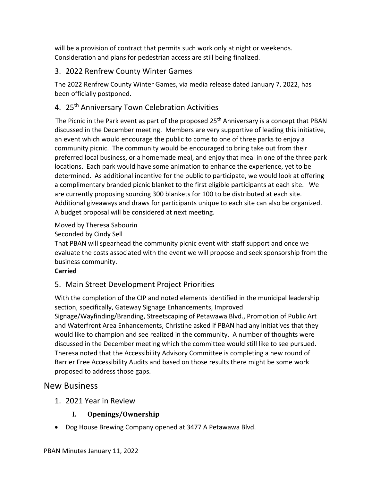will be a provision of contract that permits such work only at night or weekends. Consideration and plans for pedestrian access are still being finalized.

### 3. 2022 Renfrew County Winter Games

The 2022 Renfrew County Winter Games, via media release dated January 7, 2022, has been officially postponed.

### 4. 25<sup>th</sup> Anniversary Town Celebration Activities

The Picnic in the Park event as part of the proposed 25<sup>th</sup> Anniversary is a concept that PBAN discussed in the December meeting. Members are very supportive of leading this initiative, an event which would encourage the public to come to one of three parks to enjoy a community picnic. The community would be encouraged to bring take out from their preferred local business, or a homemade meal, and enjoy that meal in one of the three park locations. Each park would have some animation to enhance the experience, yet to be determined. As additional incentive for the public to participate, we would look at offering a complimentary branded picnic blanket to the first eligible participants at each site. We are currently proposing sourcing 300 blankets for 100 to be distributed at each site. Additional giveaways and draws for participants unique to each site can also be organized. A budget proposal will be considered at next meeting.

Moved by Theresa Sabourin

Seconded by Cindy Sell

That PBAN will spearhead the community picnic event with staff support and once we evaluate the costs associated with the event we will propose and seek sponsorship from the business community.

#### **Carried**

### 5. Main Street Development Project Priorities

With the completion of the CIP and noted elements identified in the municipal leadership section, specifically, Gateway Signage Enhancements, Improved Signage/Wayfinding/Branding, Streetscaping of Petawawa Blvd., Promotion of Public Art and Waterfront Area Enhancements, Christine asked if PBAN had any initiatives that they would like to champion and see realized in the community. A number of thoughts were discussed in the December meeting which the committee would still like to see pursued. Theresa noted that the Accessibility Advisory Committee is completing a new round of Barrier Free Accessibility Audits and based on those results there might be some work proposed to address those gaps.

### New Business

1. 2021 Year in Review

### **I. Openings/Ownership**

· Dog House Brewing Company opened at 3477 A Petawawa Blvd.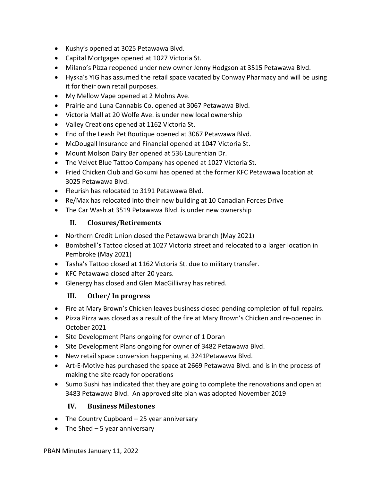- · Kushy's opened at 3025 Petawawa Blvd.
- · Capital Mortgages opened at 1027 Victoria St.
- · Milano's Pizza reopened under new owner Jenny Hodgson at 3515 Petawawa Blvd.
- · Hyska's YIG has assumed the retail space vacated by Conway Pharmacy and will be using it for their own retail purposes.
- · My Mellow Vape opened at 2 Mohns Ave.
- · Prairie and Luna Cannabis Co. opened at 3067 Petawawa Blvd.
- · Victoria Mall at 20 Wolfe Ave. is under new local ownership
- · Valley Creations opened at 1162 Victoria St.
- · End of the Leash Pet Boutique opened at 3067 Petawawa Blvd.
- · McDougall Insurance and Financial opened at 1047 Victoria St.
- · Mount Molson Dairy Bar opened at 536 Laurentian Dr.
- · The Velvet Blue Tattoo Company has opened at 1027 Victoria St.
- · Fried Chicken Club and Gokumi has opened at the former KFC Petawawa location at 3025 Petawawa Blvd.
- · Fleurish has relocated to 3191 Petawawa Blvd.
- · Re/Max has relocated into their new building at 10 Canadian Forces Drive
- The Car Wash at 3519 Petawawa Blvd. is under new ownership

#### **II. Closures/Retirements**

- · Northern Credit Union closed the Petawawa branch (May 2021)
- · Bombshell's Tattoo closed at 1027 Victoria street and relocated to a larger location in Pembroke (May 2021)
- · Tasha's Tattoo closed at 1162 Victoria St. due to military transfer.
- · KFC Petawawa closed after 20 years.
- · Glenergy has closed and Glen MacGillivray has retired.

#### **III. Other/ In progress**

- · Fire at Mary Brown's Chicken leaves business closed pending completion of full repairs.
- · Pizza Pizza was closed as a result of the fire at Mary Brown's Chicken and re-opened in October 2021
- · Site Development Plans ongoing for owner of 1 Doran
- · Site Development Plans ongoing for owner of 3482 Petawawa Blvd.
- · New retail space conversion happening at 3241Petawawa Blvd.
- · Art-E-Motive has purchased the space at 2669 Petawawa Blvd. and is in the process of making the site ready for operations
- · Sumo Sushi has indicated that they are going to complete the renovations and open at 3483 Petawawa Blvd. An approved site plan was adopted November 2019

#### **IV. Business Milestones**

- The Country Cupboard 25 year anniversary
- The Shed  $-5$  year anniversary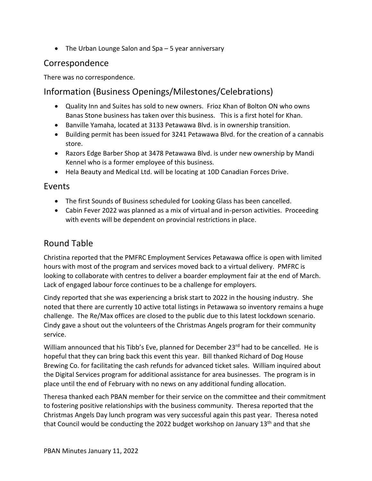• The Urban Lounge Salon and Spa – 5 year anniversary

# Correspondence

There was no correspondence.

# Information (Business Openings/Milestones/Celebrations)

- · Quality Inn and Suites has sold to new owners. Frioz Khan of Bolton ON who owns Banas Stone business has taken over this business. This is a first hotel for Khan.
- · Banville Yamaha, located at 3133 Petawawa Blvd. is in ownership transition.
- · Building permit has been issued for 3241 Petawawa Blvd. for the creation of a cannabis store.
- · Razors Edge Barber Shop at 3478 Petawawa Blvd. is under new ownership by Mandi Kennel who is a former employee of this business.
- · Hela Beauty and Medical Ltd. will be locating at 10D Canadian Forces Drive.

### Events

- · The first Sounds of Business scheduled for Looking Glass has been cancelled.
- · Cabin Fever 2022 was planned as a mix of virtual and in-person activities. Proceeding with events will be dependent on provincial restrictions in place.

# Round Table

Christina reported that the PMFRC Employment Services Petawawa office is open with limited hours with most of the program and services moved back to a virtual delivery. PMFRC is looking to collaborate with centres to deliver a boarder employment fair at the end of March. Lack of engaged labour force continues to be a challenge for employers.

Cindy reported that she was experiencing a brisk start to 2022 in the housing industry. She noted that there are currently 10 active total listings in Petawawa so inventory remains a huge challenge. The Re/Max offices are closed to the public due to this latest lockdown scenario. Cindy gave a shout out the volunteers of the Christmas Angels program for their community service.

William announced that his Tibb's Eve, planned for December 23<sup>rd</sup> had to be cancelled. He is hopeful that they can bring back this event this year. Bill thanked Richard of Dog House Brewing Co. for facilitating the cash refunds for advanced ticket sales. William inquired about the Digital Services program for additional assistance for area businesses. The program is in place until the end of February with no news on any additional funding allocation.

Theresa thanked each PBAN member for their service on the committee and their commitment to fostering positive relationships with the business community. Theresa reported that the Christmas Angels Day lunch program was very successful again this past year. Theresa noted that Council would be conducting the 2022 budget workshop on January 13<sup>th</sup> and that she